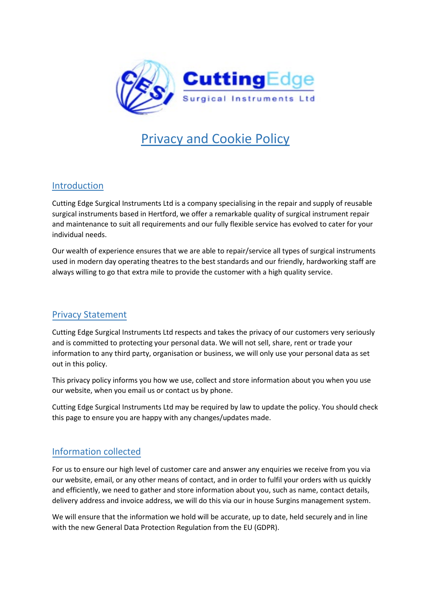

# Privacy and Cookie Policy

#### Introduction

Cutting Edge Surgical Instruments Ltd is a company specialising in the repair and supply of reusable surgical instruments based in Hertford, we offer a remarkable quality of surgical instrument repair and maintenance to suit all requirements and our fully flexible service has evolved to cater for your individual needs.

Our wealth of experience ensures that we are able to repair/service all types of surgical instruments used in modern day operating theatres to the best standards and our friendly, hardworking staff are always willing to go that extra mile to provide the customer with a high quality service.

## Privacy Statement

Cutting Edge Surgical Instruments Ltd respects and takes the privacy of our customers very seriously and is committed to protecting your personal data. We will not sell, share, rent or trade your information to any third party, organisation or business, we will only use your personal data as set out in this policy.

This privacy policy informs you how we use, collect and store information about you when you use our website, when you email us or contact us by phone.

Cutting Edge Surgical Instruments Ltd may be required by law to update the policy. You should check this page to ensure you are happy with any changes/updates made.

## Information collected

For us to ensure our high level of customer care and answer any enquiries we receive from you via our website, email, or any other means of contact, and in order to fulfil your orders with us quickly and efficiently, we need to gather and store information about you, such as name, contact details, delivery address and invoice address, we will do this via our in house Surgins management system.

We will ensure that the information we hold will be accurate, up to date, held securely and in line with the new General Data Protection Regulation from the EU (GDPR).